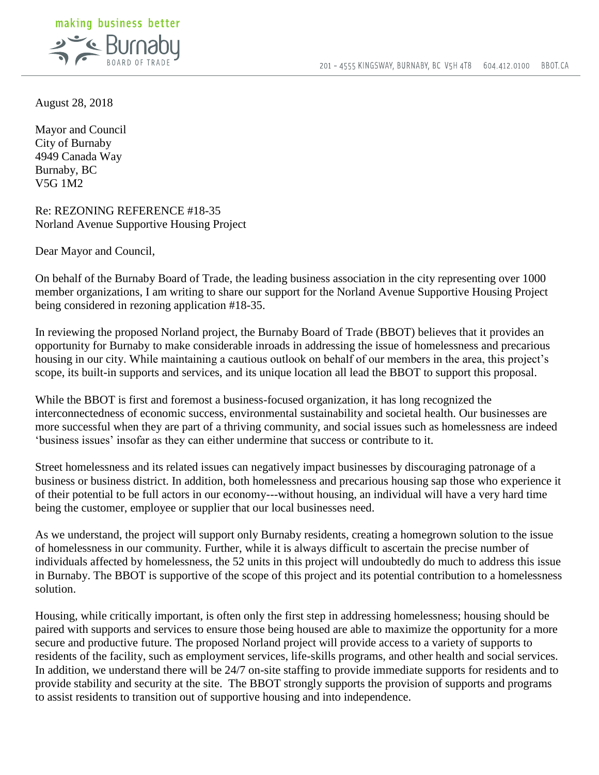

August 28, 2018

Mayor and Council City of Burnaby 4949 Canada Way Burnaby, BC V5G 1M2

Re: REZONING REFERENCE #18-35 Norland Avenue Supportive Housing Project

Dear Mayor and Council,

On behalf of the Burnaby Board of Trade, the leading business association in the city representing over 1000 member organizations, I am writing to share our support for the Norland Avenue Supportive Housing Project being considered in rezoning application #18-35.

In reviewing the proposed Norland project, the Burnaby Board of Trade (BBOT) believes that it provides an opportunity for Burnaby to make considerable inroads in addressing the issue of homelessness and precarious housing in our city. While maintaining a cautious outlook on behalf of our members in the area, this project's scope, its built-in supports and services, and its unique location all lead the BBOT to support this proposal.

While the BBOT is first and foremost a business-focused organization, it has long recognized the interconnectedness of economic success, environmental sustainability and societal health. Our businesses are more successful when they are part of a thriving community, and social issues such as homelessness are indeed 'business issues' insofar as they can either undermine that success or contribute to it.

Street homelessness and its related issues can negatively impact businesses by discouraging patronage of a business or business district. In addition, both homelessness and precarious housing sap those who experience it of their potential to be full actors in our economy---without housing, an individual will have a very hard time being the customer, employee or supplier that our local businesses need.

As we understand, the project will support only Burnaby residents, creating a homegrown solution to the issue of homelessness in our community. Further, while it is always difficult to ascertain the precise number of individuals affected by homelessness, the 52 units in this project will undoubtedly do much to address this issue in Burnaby. The BBOT is supportive of the scope of this project and its potential contribution to a homelessness solution.

Housing, while critically important, is often only the first step in addressing homelessness; housing should be paired with supports and services to ensure those being housed are able to maximize the opportunity for a more secure and productive future. The proposed Norland project will provide access to a variety of supports to residents of the facility, such as employment services, life-skills programs, and other health and social services. In addition, we understand there will be 24/7 on-site staffing to provide immediate supports for residents and to provide stability and security at the site. The BBOT strongly supports the provision of supports and programs to assist residents to transition out of supportive housing and into independence.